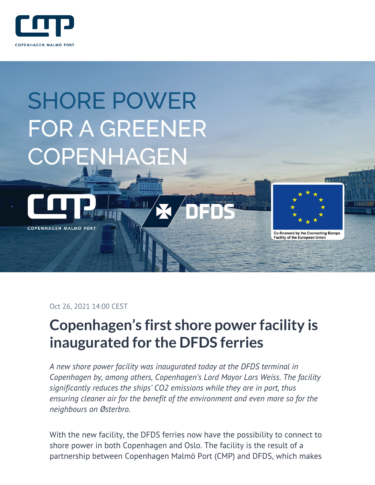

# **SHORE POWER FOR A GREENER** COPENHAGEN

铜



COPENHAGEN MALMÖ PORT

**Co-financed by the Connecting Europe** 

**Facility of the European Union** 

Oct 26, 2021 14:00 CEST

# **Copenhagen's first shore power facility is inaugurated for the DFDS ferries**

*A new shore power facility was inaugurated today at the DFDS terminal in Copenhagen by, among others, Copenhagen's Lord Mayor Lars Weiss. The facility significantly reduces the ships' CO2 emissions while they are in port, thus ensuring cleaner air for the benefit of the environment and even more so for the neighbours on Østerbro.*

With the new facility, the DFDS ferries now have the possibility to connect to shore power in both Copenhagen and Oslo. The facility is the result of a partnership between Copenhagen Malmö Port (CMP) and DFDS, which makes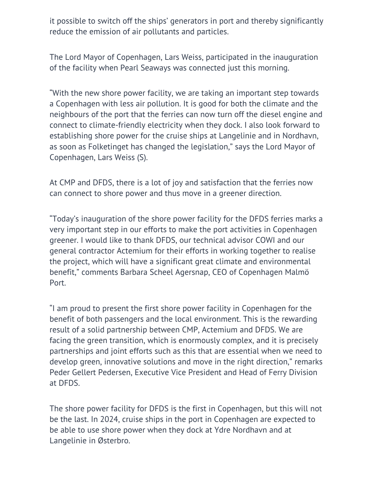it possible to switch off the ships' generators in port and thereby significantly reduce the emission of air pollutants and particles.

The Lord Mayor of Copenhagen, Lars Weiss, participated in the inauguration of the facility when Pearl Seaways was connected just this morning.

"With the new shore power facility, we are taking an important step towards a Copenhagen with less air pollution. It is good for both the climate and the neighbours of the port that the ferries can now turn off the diesel engine and connect to climate-friendly electricity when they dock. I also look forward to establishing shore power for the cruise ships at Langelinie and in Nordhavn, as soon as Folketinget has changed the legislation," says the Lord Mayor of Copenhagen, Lars Weiss (S).

At CMP and DFDS, there is a lot of joy and satisfaction that the ferries now can connect to shore power and thus move in a greener direction.

"Today's inauguration of the shore power facility for the DFDS ferries marks a very important step in our efforts to make the port activities in Copenhagen greener. I would like to thank DFDS, our technical advisor COWI and our general contractor Actemium for their efforts in working together to realise the project, which will have a significant great climate and environmental benefit," comments Barbara Scheel Agersnap, CEO of Copenhagen Malmö Port.

"I am proud to present the first shore power facility in Copenhagen for the benefit of both passengers and the local environment. This is the rewarding result of a solid partnership between CMP, Actemium and DFDS. We are facing the green transition, which is enormously complex, and it is precisely partnerships and joint efforts such as this that are essential when we need to develop green, innovative solutions and move in the right direction," remarks Peder Gellert Pedersen, Executive Vice President and Head of Ferry Division at DFDS.

The shore power facility for DFDS is the first in Copenhagen, but this will not be the last. In 2024, cruise ships in the port in Copenhagen are expected to be able to use shore power when they dock at Ydre Nordhavn and at Langelinie in Østerbro.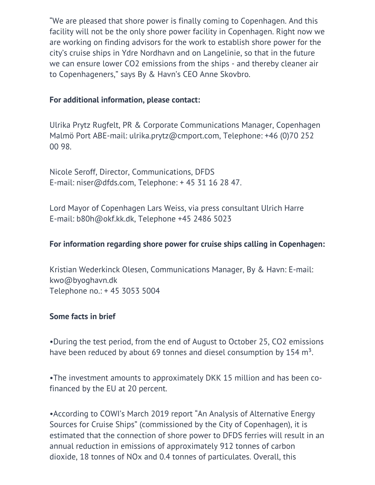"We are pleased that shore power is finally coming to Copenhagen. And this facility will not be the only shore power facility in Copenhagen. Right now we are working on finding advisors for the work to establish shore power for the city's cruise ships in Ydre Nordhavn and on Langelinie, so that in the future we can ensure lower CO2 emissions from the ships - and thereby cleaner air to Copenhageners," says By & Havn's CEO Anne Skovbro.

## **For additional information, please contact:**

Ulrika Prytz Rugfelt, PR & Corporate Communications Manager, Copenhagen Malmö Port ABE-mail: ulrika.prytz@cmport.com, Telephone: +46 (0)70 252 00 98.

Nicole Seroff, Director, Communications, DFDS E-mail: niser@dfds.com, Telephone: + 45 31 16 28 47.

Lord Mayor of Copenhagen Lars Weiss, via press consultant Ulrich Harre E-mail: b80h@okf.kk.dk, Telephone +45 2486 5023

#### **For information regarding shore power for cruise ships calling in Copenhagen:**

Kristian Wederkinck Olesen, Communications Manager, By & Havn: E-mail: kwo@byoghavn.dk Telephone no.: + 45 3053 5004

#### **Some facts in brief**

•During the test period, from the end of August to October 25, CO2 emissions have been reduced by about 69 tonnes and diesel consumption by 154 m<sup>3</sup>.

•The investment amounts to approximately DKK 15 million and has been cofinanced by the EU at 20 percent.

•According to COWI's March 2019 report "An Analysis of Alternative Energy Sources for Cruise Ships" (commissioned by the City of Copenhagen), it is estimated that the connection of shore power to DFDS ferries will result in an annual reduction in emissions of approximately 912 tonnes of carbon dioxide, 18 tonnes of NOx and 0.4 tonnes of particulates. Overall, this